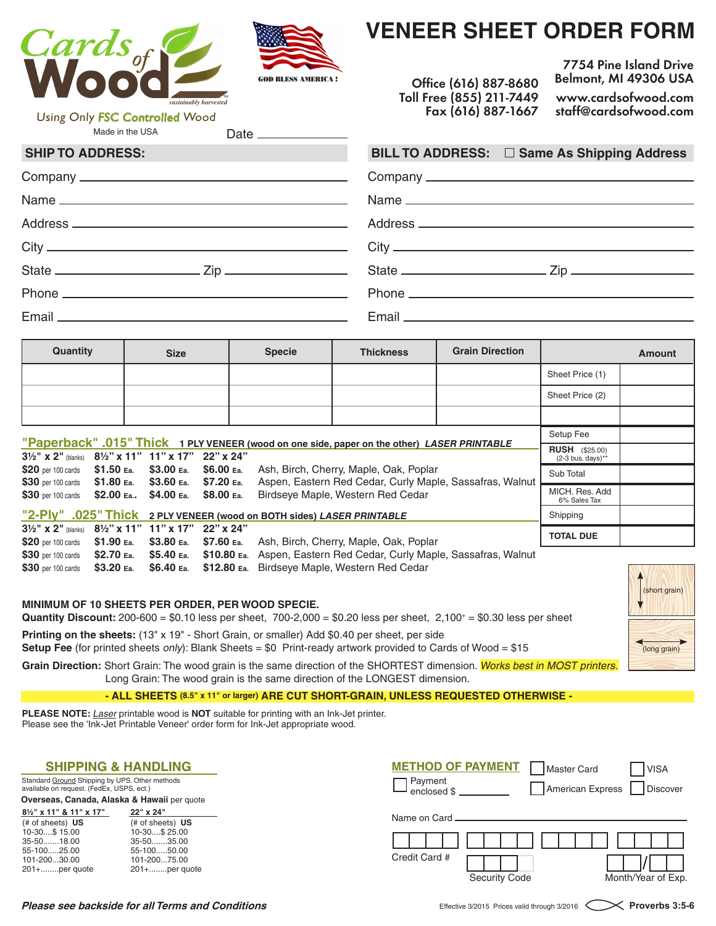



Date\_

# **VENEER SHEET ORDER FORM**

 **Office (616) 887-8680 Toll Free (855) 211-7449 Fax (616) 887-1667**

**7754 Pine Island Drive Belmont, MI 49306 USA www.cardsofwood.com staff@cardsofwood.com**

Made in the USA Using Only FSC Controlled Wood

| <b>SHIP TO ADDRESS:</b> | BILL TO ADDRESS: □ Same As Shipping Address |
|-------------------------|---------------------------------------------|
|                         |                                             |
|                         |                                             |
|                         |                                             |
|                         |                                             |
|                         |                                             |
|                         |                                             |
|                         |                                             |

| Quantity                                                                                                                                                                 |  | <b>Size</b> |  | <b>Specie</b>                                                         | <b>Thickness</b>                                                                              | <b>Grain Direction</b> |                                | <b>Amount</b> |
|--------------------------------------------------------------------------------------------------------------------------------------------------------------------------|--|-------------|--|-----------------------------------------------------------------------|-----------------------------------------------------------------------------------------------|------------------------|--------------------------------|---------------|
|                                                                                                                                                                          |  |             |  |                                                                       |                                                                                               |                        | Sheet Price (1)                |               |
|                                                                                                                                                                          |  |             |  |                                                                       |                                                                                               |                        | Sheet Price (2)                |               |
|                                                                                                                                                                          |  |             |  |                                                                       |                                                                                               |                        |                                |               |
|                                                                                                                                                                          |  |             |  |                                                                       |                                                                                               | Setup Fee              |                                |               |
| "Paperback" .015" Thick 1 PLY VENEER (wood on one side, paper on the other) LASER PRINTABLE<br>$3\frac{1}{2}$ " x 2" (blanks) $8\frac{1}{2}$ " x 11" 11" x 17" 22" x 24" |  |             |  | <b>RUSH</b> (\$25.00)<br>$(2-3$ bus. days)**                          |                                                                                               |                        |                                |               |
| \$20 per 100 cards \$1.50 Ea. \$3.00 Ea. \$6.00 Ea.<br>\$30 per 100 cards \$1.80 Ea. \$3.60 Ea. \$7.20 Ea.                                                               |  |             |  |                                                                       | Ash, Birch, Cherry, Maple, Oak, Poplar                                                        |                        | Sub Total                      |               |
| \$30 per 100 cards \$2.00 Ea \$4.00 Ea. \$8.00 Ea.                                                                                                                       |  |             |  |                                                                       | Aspen, Eastern Red Cedar, Curly Maple, Sassafras, Walnut<br>Birdseye Maple, Western Red Cedar |                        | MICH. Res. Add<br>6% Sales Tax |               |
|                                                                                                                                                                          |  |             |  | "2-Ply" .025" Thick 2 PLY VENEER (wood on BOTH sides) LASER PRINTABLE |                                                                                               |                        | Shipping                       |               |
| $3\frac{1}{2}$ " x 2" (blanks) $8\frac{1}{2}$ " x 11" 11" x 17" 22" x 24"                                                                                                |  |             |  |                                                                       | $\mathbf{A}$                                                                                  |                        | <b>TOTAL DUE</b>               |               |

|  |  | \$20 per 100 cards \$1.90 Ea. \$3.80 Ea. \$7.60 Ea. Ash, Birch, Cherry, Maple, Oak, Poplar                    |
|--|--|---------------------------------------------------------------------------------------------------------------|
|  |  | \$30 per 100 cards \$2.70 Ea. \$5.40 Ea. \$10.80 Ea. Aspen, Eastern Red Cedar, Curly Maple, Sassafras, Walnut |
|  |  | <b>\$30</b> per 100 cards <b>\$3.20 Ea. \$6.40 Ea. \$12.80 Ea.</b> Birdseye Maple, Western Red Cedar          |

#### **MINIMUM OF 10 SHEETS PER ORDER, PER WOOD SPECIE.**

**Quantity Discount:** 200-600 = \$0.10 less per sheet, 700-2,000 = \$0.20 less per sheet, 2,100+ = \$0.30 less per sheet

**Printing on the sheets:** (13" x 19" - Short Grain, or smaller) Add \$0.40 per sheet, per side **Setup Fee** (for printed sheets only): Blank Sheets = \$0 Print-ready artwork provided to Cards of Wood = \$15

Grain Direction: Short Grain: The wood grain is the same direction of the SHORTEST dimension. Works best in MOST printers. Long Grain: The wood grain is the same direction of the LONGEST dimension.

**- ALL SHEETS (8.5" x 11" or larger) ARE CUT SHORT-GRAIN, UNLESS REQUESTED OTHERWISE -**

**PLEASE NOTE:** Laser printable wood is **NOT** suitable for printing with an Ink-Jet printer. Please see the 'Ink-Jet Printable Veneer' order form for Ink-Jet appropriate wood.

| <b>SHIPPING &amp; HANDLING</b>                                                                                                |                                                                                                                              | <b>METHOD OF PAYMENT</b><br><b>IVISA</b><br>Master Card                      |
|-------------------------------------------------------------------------------------------------------------------------------|------------------------------------------------------------------------------------------------------------------------------|------------------------------------------------------------------------------|
| Standard Ground Shipping by UPS. Other methods<br>available on request. (FedEx, USPS, ect.)                                   |                                                                                                                              | 1 Payment<br>American Express<br>Discover<br>enclosed \$                     |
| Overseas, Canada, Alaska & Hawaii per quote                                                                                   |                                                                                                                              |                                                                              |
| 81/2" x 11" & 11" x 17"<br>$#$ of sheets) $US$<br>10-30\$ 15.00<br>35-5018.00<br>55-10025.00<br>101-20030.00<br>201+per quote | 22" x 24"<br>$#$ of sheets) $US$<br>10-30\$ 25.00<br>$35-50$ 35.00<br>55-10050.00<br>101-20075.00<br>$201 + \dots$ per quote | Name on Card.<br>Credit Card #<br>Month/Year of Exp.<br><b>Security Code</b> |

#### **Please see backside for all Terms and Conditions Effective 3/2015** Prices valid through 3/2016 **Proverbs 3:5-6** Proverbs 3:5-6